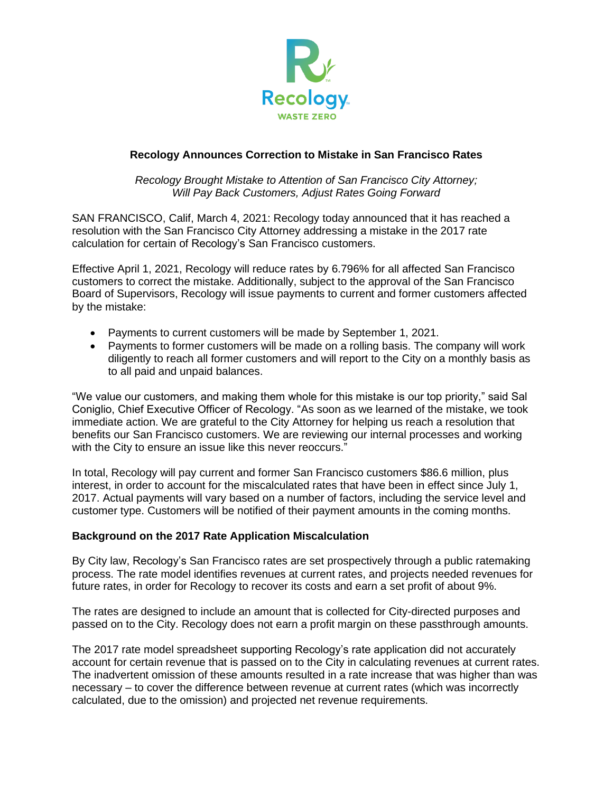

## **Recology Announces Correction to Mistake in San Francisco Rates**

*Recology Brought Mistake to Attention of San Francisco City Attorney; Will Pay Back Customers, Adjust Rates Going Forward* 

SAN FRANCISCO, Calif, March 4, 2021: Recology today announced that it has reached a resolution with the San Francisco City Attorney addressing a mistake in the 2017 rate calculation for certain of Recology's San Francisco customers.

Effective April 1, 2021, Recology will reduce rates by 6.796% for all affected San Francisco customers to correct the mistake. Additionally, subject to the approval of the San Francisco Board of Supervisors, Recology will issue payments to current and former customers affected by the mistake:

- Payments to current customers will be made by September 1, 2021.
- Payments to former customers will be made on a rolling basis. The company will work diligently to reach all former customers and will report to the City on a monthly basis as to all paid and unpaid balances.

"We value our customers, and making them whole for this mistake is our top priority," said Sal Coniglio, Chief Executive Officer of Recology. "As soon as we learned of the mistake, we took immediate action. We are grateful to the City Attorney for helping us reach a resolution that benefits our San Francisco customers. We are reviewing our internal processes and working with the City to ensure an issue like this never reoccurs."

In total, Recology will pay current and former San Francisco customers \$86.6 million, plus interest, in order to account for the miscalculated rates that have been in effect since July 1, 2017. Actual payments will vary based on a number of factors, including the service level and customer type. Customers will be notified of their payment amounts in the coming months.

## **Background on the 2017 Rate Application Miscalculation**

By City law, Recology's San Francisco rates are set prospectively through a public ratemaking process. The rate model identifies revenues at current rates, and projects needed revenues for future rates, in order for Recology to recover its costs and earn a set profit of about 9%.

The rates are designed to include an amount that is collected for City-directed purposes and passed on to the City. Recology does not earn a profit margin on these passthrough amounts.

The 2017 rate model spreadsheet supporting Recology's rate application did not accurately account for certain revenue that is passed on to the City in calculating revenues at current rates. The inadvertent omission of these amounts resulted in a rate increase that was higher than was necessary – to cover the difference between revenue at current rates (which was incorrectly calculated, due to the omission) and projected net revenue requirements.